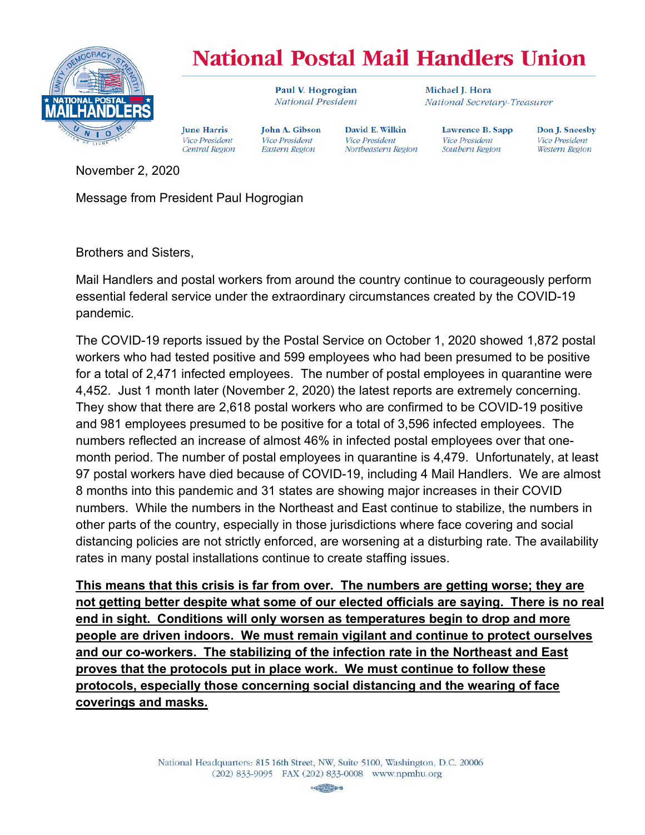

## **National Postal Mail Handlers Union**

David E. Wilkin

Northeastern Region

Vice President

Paul V. Hogrogian National President

**John A. Gibson** 

Vice President

**Eastern Region** 

Michael I. Hora National Secretary-Treasurer

Lawrence B. Sapp **Vice President** Southern Region

Don J. Sneesby Vice President Western Region

November 2, 2020

Message from President Paul Hogrogian

**Iune Harris** 

Vice President

Central Region

Brothers and Sisters,

Mail Handlers and postal workers from around the country continue to courageously perform essential federal service under the extraordinary circumstances created by the COVID-19 pandemic.

The COVID-19 reports issued by the Postal Service on October 1, 2020 showed 1,872 postal workers who had tested positive and 599 employees who had been presumed to be positive for a total of 2,471 infected employees. The number of postal employees in quarantine were 4,452. Just 1 month later (November 2, 2020) the latest reports are extremely concerning. They show that there are 2,618 postal workers who are confirmed to be COVID-19 positive and 981 employees presumed to be positive for a total of 3,596 infected employees. The numbers reflected an increase of almost 46% in infected postal employees over that onemonth period. The number of postal employees in quarantine is 4,479. Unfortunately, at least 97 postal workers have died because of COVID-19, including 4 Mail Handlers. We are almost 8 months into this pandemic and 31 states are showing major increases in their COVID numbers. While the numbers in the Northeast and East continue to stabilize, the numbers in other parts of the country, especially in those jurisdictions where face covering and social distancing policies are not strictly enforced, are worsening at a disturbing rate. The availability rates in many postal installations continue to create staffing issues.

**This means that this crisis is far from over. The numbers are getting worse; they are not getting better despite what some of our elected officials are saying. There is no real end in sight. Conditions will only worsen as temperatures begin to drop and more people are driven indoors. We must remain vigilant and continue to protect ourselves and our co-workers. The stabilizing of the infection rate in the Northeast and East proves that the protocols put in place work. We must continue to follow these protocols, especially those concerning social distancing and the wearing of face coverings and masks.**

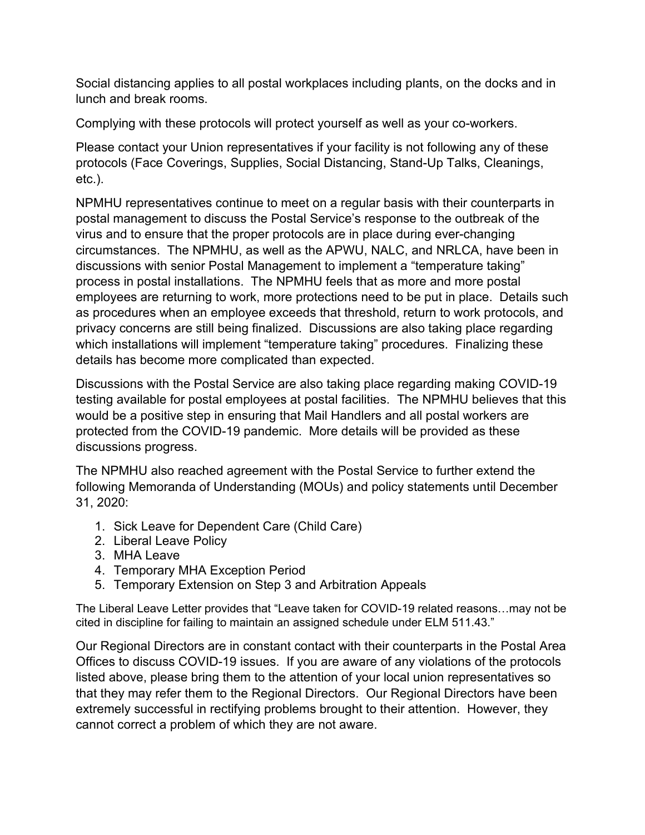Social distancing applies to all postal workplaces including plants, on the docks and in lunch and break rooms.

Complying with these protocols will protect yourself as well as your co-workers.

Please contact your Union representatives if your facility is not following any of these protocols (Face Coverings, Supplies, Social Distancing, Stand-Up Talks, Cleanings, etc.).

NPMHU representatives continue to meet on a regular basis with their counterparts in postal management to discuss the Postal Service's response to the outbreak of the virus and to ensure that the proper protocols are in place during ever-changing circumstances. The NPMHU, as well as the APWU, NALC, and NRLCA, have been in discussions with senior Postal Management to implement a "temperature taking" process in postal installations. The NPMHU feels that as more and more postal employees are returning to work, more protections need to be put in place. Details such as procedures when an employee exceeds that threshold, return to work protocols, and privacy concerns are still being finalized. Discussions are also taking place regarding which installations will implement "temperature taking" procedures. Finalizing these details has become more complicated than expected.

Discussions with the Postal Service are also taking place regarding making COVID-19 testing available for postal employees at postal facilities. The NPMHU believes that this would be a positive step in ensuring that Mail Handlers and all postal workers are protected from the COVID-19 pandemic. More details will be provided as these discussions progress.

The NPMHU also reached agreement with the Postal Service to further extend the following Memoranda of Understanding (MOUs) and policy statements until December 31, 2020:

- 1. Sick Leave for Dependent Care (Child Care)
- 2. Liberal Leave Policy
- 3. MHA Leave
- 4. Temporary MHA Exception Period
- 5. Temporary Extension on Step 3 and Arbitration Appeals

The Liberal Leave Letter provides that "Leave taken for COVID-19 related reasons…may not be cited in discipline for failing to maintain an assigned schedule under ELM 511.43."

Our Regional Directors are in constant contact with their counterparts in the Postal Area Offices to discuss COVID-19 issues. If you are aware of any violations of the protocols listed above, please bring them to the attention of your local union representatives so that they may refer them to the Regional Directors. Our Regional Directors have been extremely successful in rectifying problems brought to their attention. However, they cannot correct a problem of which they are not aware.